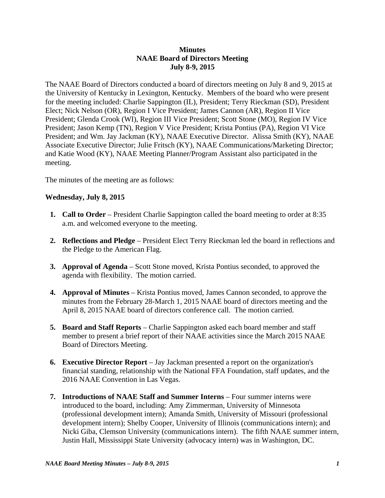### **Minutes NAAE Board of Directors Meeting July 8-9, 2015**

The NAAE Board of Directors conducted a board of directors meeting on July 8 and 9, 2015 at the University of Kentucky in Lexington, Kentucky. Members of the board who were present for the meeting included: Charlie Sappington (IL), President; Terry Rieckman (SD), President Elect; Nick Nelson (OR), Region I Vice President; James Cannon (AR), Region II Vice President; Glenda Crook (WI), Region III Vice President; Scott Stone (MO), Region IV Vice President; Jason Kemp (TN), Region V Vice President; Krista Pontius (PA), Region VI Vice President; and Wm. Jay Jackman (KY), NAAE Executive Director. Alissa Smith (KY), NAAE Associate Executive Director; Julie Fritsch (KY), NAAE Communications/Marketing Director; and Katie Wood (KY), NAAE Meeting Planner/Program Assistant also participated in the meeting.

The minutes of the meeting are as follows:

## **Wednesday, July 8, 2015**

- **1. Call to Order** President Charlie Sappington called the board meeting to order at 8:35 a.m. and welcomed everyone to the meeting.
- **2. Reflections and Pledge** President Elect Terry Rieckman led the board in reflections and the Pledge to the American Flag.
- **3. Approval of Agenda** Scott Stone moved, Krista Pontius seconded, to approved the agenda with flexibility. The motion carried.
- **4. Approval of Minutes**  Krista Pontius moved, James Cannon seconded, to approve the minutes from the February 28-March 1, 2015 NAAE board of directors meeting and the April 8, 2015 NAAE board of directors conference call. The motion carried.
- **5. Board and Staff Reports**  Charlie Sappington asked each board member and staff member to present a brief report of their NAAE activities since the March 2015 NAAE Board of Directors Meeting.
- **6. Executive Director Report** Jay Jackman presented a report on the organization's financial standing, relationship with the National FFA Foundation, staff updates, and the 2016 NAAE Convention in Las Vegas.
- **7. Introductions of NAAE Staff and Summer Interns** Four summer interns were introduced to the board, including: Amy Zimmerman, University of Minnesota (professional development intern); Amanda Smith, University of Missouri (professional development intern); Shelby Cooper, University of Illinois (communications intern); and Nicki Giba, Clemson University (communications intern). The fifth NAAE summer intern, Justin Hall, Mississippi State University (advocacy intern) was in Washington, DC.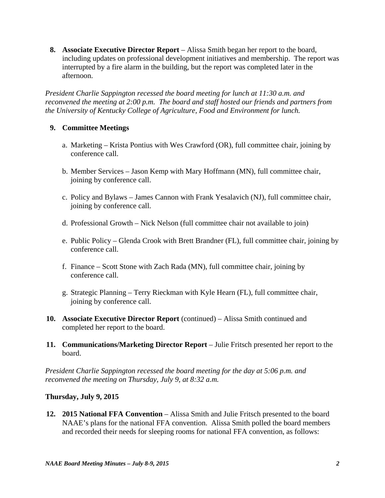**8. Associate Executive Director Report** – Alissa Smith began her report to the board, including updates on professional development initiatives and membership. The report was interrupted by a fire alarm in the building, but the report was completed later in the afternoon.

*President Charlie Sappington recessed the board meeting for lunch at 11:30 a.m. and reconvened the meeting at 2:00 p.m. The board and staff hosted our friends and partners from the University of Kentucky College of Agriculture, Food and Environment for lunch.* 

## **9. Committee Meetings**

- a. Marketing Krista Pontius with Wes Crawford (OR), full committee chair, joining by conference call.
- b. Member Services Jason Kemp with Mary Hoffmann (MN), full committee chair, joining by conference call.
- c. Policy and Bylaws James Cannon with Frank Yesalavich (NJ), full committee chair, joining by conference call.
- d. Professional Growth Nick Nelson (full committee chair not available to join)
- e. Public Policy Glenda Crook with Brett Brandner (FL), full committee chair, joining by conference call.
- f. Finance Scott Stone with Zach Rada (MN), full committee chair, joining by conference call.
- g. Strategic Planning Terry Rieckman with Kyle Hearn (FL), full committee chair, joining by conference call.
- **10. Associate Executive Director Report** (continued) Alissa Smith continued and completed her report to the board.
- **11. Communications/Marketing Director Report** Julie Fritsch presented her report to the board.

*President Charlie Sappington recessed the board meeting for the day at 5:06 p.m. and reconvened the meeting on Thursday, July 9, at 8:32 a.m.* 

# **Thursday, July 9, 2015**

 **12. 2015 National FFA Convention** – Alissa Smith and Julie Fritsch presented to the board NAAE's plans for the national FFA convention. Alissa Smith polled the board members and recorded their needs for sleeping rooms for national FFA convention, as follows: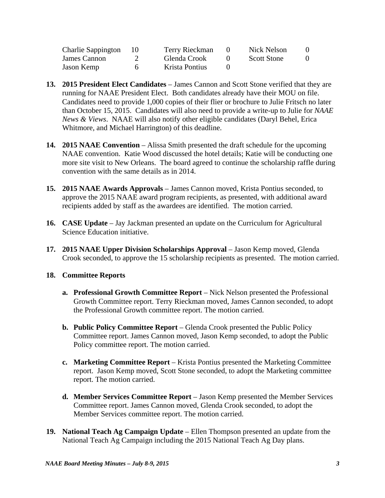| Charlie Sappington | - 10 - | Terry Rieckman | Nick Nelson        |  |
|--------------------|--------|----------------|--------------------|--|
| James Cannon       |        | Glenda Crook   | <b>Scott Stone</b> |  |
| Jason Kemp         |        | Krista Pontius |                    |  |

- **13. 2015 President Elect Candidates** James Cannon and Scott Stone verified that they are running for NAAE President Elect. Both candidates already have their MOU on file. Candidates need to provide 1,000 copies of their flier or brochure to Julie Fritsch no later than October 15, 2015. Candidates will also need to provide a write-up to Julie for *NAAE News & Views*. NAAE will also notify other eligible candidates (Daryl Behel, Erica Whitmore, and Michael Harrington) of this deadline.
- **14. 2015 NAAE Convention**  Alissa Smith presented the draft schedule for the upcoming NAAE convention. Katie Wood discussed the hotel details; Katie will be conducting one more site visit to New Orleans. The board agreed to continue the scholarship raffle during convention with the same details as in 2014.
- **15. 2015 NAAE Awards Approvals** James Cannon moved, Krista Pontius seconded, to approve the 2015 NAAE award program recipients, as presented, with additional award recipients added by staff as the awardees are identified. The motion carried.
- **16. CASE Update** Jay Jackman presented an update on the Curriculum for Agricultural Science Education initiative.
- **17. 2015 NAAE Upper Division Scholarships Approval**  Jason Kemp moved, Glenda Crook seconded, to approve the 15 scholarship recipients as presented. The motion carried.

## **18. Committee Reports**

- **a. Professional Growth Committee Report** Nick Nelson presented the Professional Growth Committee report. Terry Rieckman moved, James Cannon seconded, to adopt the Professional Growth committee report. The motion carried.
- **b. Public Policy Committee Report** Glenda Crook presented the Public Policy Committee report. James Cannon moved, Jason Kemp seconded, to adopt the Public Policy committee report. The motion carried.
- **c. Marketing Committee Report** Krista Pontius presented the Marketing Committee report. Jason Kemp moved, Scott Stone seconded, to adopt the Marketing committee report. The motion carried.
- d. Member Services Committee Report Jason Kemp presented the Member Services Committee report. James Cannon moved, Glenda Crook seconded, to adopt the Member Services committee report. The motion carried.
- **19. National Teach Ag Campaign Update** Ellen Thompson presented an update from the National Teach Ag Campaign including the 2015 National Teach Ag Day plans.